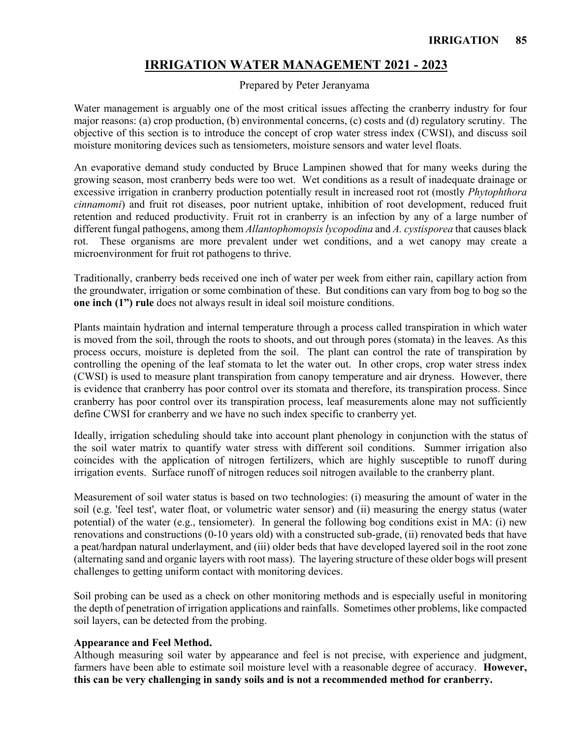# **IRRIGATION WATER MANAGEMENT 2021 - 2023**

#### Prepared by Peter Jeranyama

Water management is arguably one of the most critical issues affecting the cranberry industry for four major reasons: (a) crop production, (b) environmental concerns, (c) costs and (d) regulatory scrutiny. The objective of this section is to introduce the concept of crop water stress index (CWSI), and discuss soil moisture monitoring devices such as tensiometers, moisture sensors and water level floats.

An evaporative demand study conducted by Bruce Lampinen showed that for many weeks during the growing season, most cranberry beds were too wet. Wet conditions as a result of inadequate drainage or excessive irrigation in cranberry production potentially result in increased root rot (mostly *Phytophthora cinnamomi*) and fruit rot diseases, poor nutrient uptake, inhibition of root development, reduced fruit retention and reduced productivity. Fruit rot in cranberry is an infection by any of a large number of different fungal pathogens, among them *Allantophomopsis lycopodina* and *A. cystisporea* that causes black rot. These organisms are more prevalent under wet conditions, and a wet canopy may create a microenvironment for fruit rot pathogens to thrive.

Traditionally, cranberry beds received one inch of water per week from either rain, capillary action from the groundwater, irrigation or some combination of these. But conditions can vary from bog to bog so the **one inch (1") rule** does not always result in ideal soil moisture conditions.

Plants maintain hydration and internal temperature through a process called transpiration in which water is moved from the soil, through the roots to shoots, and out through pores (stomata) in the leaves. As this process occurs, moisture is depleted from the soil. The plant can control the rate of transpiration by controlling the opening of the leaf stomata to let the water out. In other crops, crop water stress index (CWSI) is used to measure plant transpiration from canopy temperature and air dryness. However, there is evidence that cranberry has poor control over its stomata and therefore, its transpiration process. Since cranberry has poor control over its transpiration process, leaf measurements alone may not sufficiently define CWSI for cranberry and we have no such index specific to cranberry yet.

Ideally, irrigation scheduling should take into account plant phenology in conjunction with the status of the soil water matrix to quantify water stress with different soil conditions. Summer irrigation also coincides with the application of nitrogen fertilizers, which are highly susceptible to runoff during irrigation events. Surface runoff of nitrogen reduces soil nitrogen available to the cranberry plant.

Measurement of soil water status is based on two technologies: (i) measuring the amount of water in the soil (e.g. 'feel test', water float, or volumetric water sensor) and (ii) measuring the energy status (water potential) of the water (e.g., tensiometer). In general the following bog conditions exist in MA: (i) new renovations and constructions (0-10 years old) with a constructed sub-grade, (ii) renovated beds that have a peat/hardpan natural underlayment, and (iii) older beds that have developed layered soil in the root zone (alternating sand and organic layers with root mass). The layering structure of these older bogs will present challenges to getting uniform contact with monitoring devices.

Soil probing can be used as a check on other monitoring methods and is especially useful in monitoring the depth of penetration of irrigation applications and rainfalls. Sometimes other problems, like compacted soil layers, can be detected from the probing.

#### **Appearance and Feel Method.**

Although measuring soil water by appearance and feel is not precise, with experience and judgment, farmers have been able to estimate soil moisture level with a reasonable degree of accuracy. **However, this can be very challenging in sandy soils and is not a recommended method for cranberry.**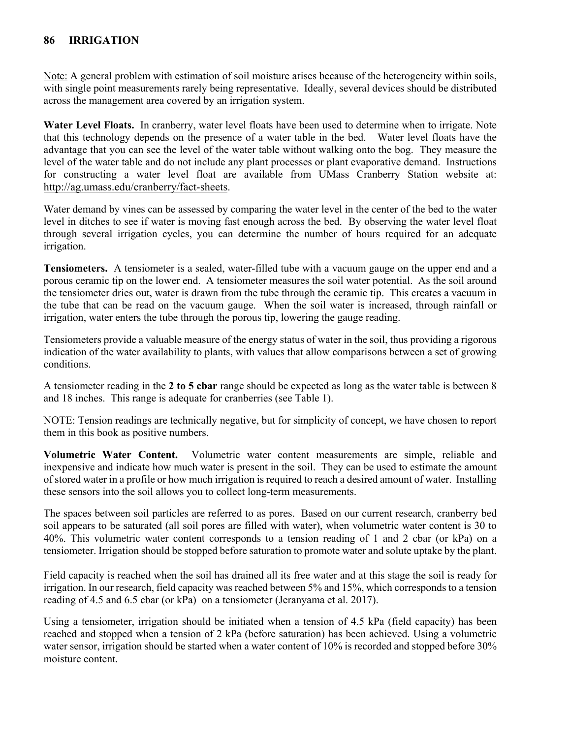# **86 IRRIGATION**

Note: A general problem with estimation of soil moisture arises because of the heterogeneity within soils, with single point measurements rarely being representative. Ideally, several devices should be distributed across the management area covered by an irrigation system.

**Water Level Floats.** In cranberry, water level floats have been used to determine when to irrigate. Note that this technology depends on the presence of a water table in the bed. Water level floats have the advantage that you can see the level of the water table without walking onto the bog. They measure the level of the water table and do not include any plant processes or plant evaporative demand. Instructions for constructing a water level float are available from UMass Cranberry Station website at: [http://ag.umass.edu/cranberry/fact-sheets.](http://ag.umass.edu/cranberry/fact-sheets)

Water demand by vines can be assessed by comparing the water level in the center of the bed to the water level in ditches to see if water is moving fast enough across the bed. By observing the water level float through several irrigation cycles, you can determine the number of hours required for an adequate irrigation.

**Tensiometers.** A tensiometer is a sealed, water-filled tube with a vacuum gauge on the upper end and a porous ceramic tip on the lower end. A tensiometer measures the soil water potential. As the soil around the tensiometer dries out, water is drawn from the tube through the ceramic tip. This creates a vacuum in the tube that can be read on the vacuum gauge. When the soil water is increased, through rainfall or irrigation, water enters the tube through the porous tip, lowering the gauge reading.

Tensiometers provide a valuable measure of the energy status of water in the soil, thus providing a rigorous indication of the water availability to plants, with values that allow comparisons between a set of growing conditions.

A tensiometer reading in the **2 to 5 cbar** range should be expected as long as the water table is between 8 and 18 inches. This range is adequate for cranberries (see Table 1).

NOTE: Tension readings are technically negative, but for simplicity of concept, we have chosen to report them in this book as positive numbers.

**Volumetric Water Content.** Volumetric water content measurements are simple, reliable and inexpensive and indicate how much water is present in the soil. They can be used to estimate the amount of stored water in a profile or how much irrigation is required to reach a desired amount of water. Installing these sensors into the soil allows you to collect long-term measurements.

The spaces between soil particles are referred to as pores. Based on our current research, cranberry bed soil appears to be saturated (all soil pores are filled with water), when volumetric water content is 30 to 40%. This volumetric water content corresponds to a tension reading of 1 and 2 cbar (or kPa) on a tensiometer. Irrigation should be stopped before saturation to promote water and solute uptake by the plant.

Field capacity is reached when the soil has drained all its free water and at this stage the soil is ready for irrigation. In our research, field capacity was reached between 5% and 15%, which corresponds to a tension reading of 4.5 and 6.5 cbar (or kPa) on a tensiometer (Jeranyama et al. 2017).

Using a tensiometer, irrigation should be initiated when a tension of 4.5 kPa (field capacity) has been reached and stopped when a tension of 2 kPa (before saturation) has been achieved. Using a volumetric water sensor, irrigation should be started when a water content of 10% is recorded and stopped before 30% moisture content.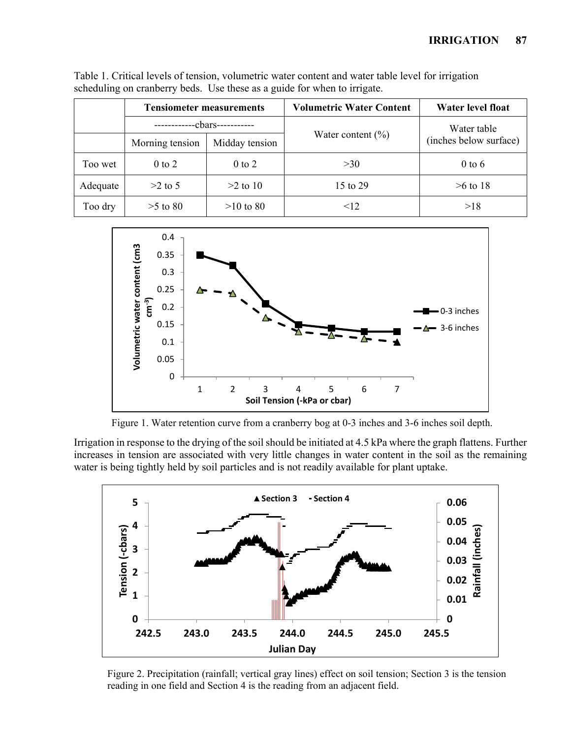|          | <b>Tensiometer measurements</b> |                | <b>Volumetric Water Content</b> | Water level float      |
|----------|---------------------------------|----------------|---------------------------------|------------------------|
|          | -cbars-                         |                |                                 | Water table            |
|          | Morning tension                 | Midday tension | Water content $(\% )$           | (inches below surface) |
| Too wet  | $0$ to $2$                      | $0$ to $2$     | >30                             | $0$ to 6               |
| Adequate | $>2$ to 5                       | $>2$ to 10     | 15 to 29                        | $>6$ to 18             |
| Too dry  | $>5$ to 80                      | $>10$ to 80    | $<$ 12                          | >18                    |

Table 1. Critical levels of tension, volumetric water content and water table level for irrigation scheduling on cranberry beds. Use these as a guide for when to irrigate.



Figure 1. Water retention curve from a cranberry bog at 0-3 inches and 3-6 inches soil depth.

Irrigation in response to the drying of the soil should be initiated at 4.5 kPa where the graph flattens. Further increases in tension are associated with very little changes in water content in the soil as the remaining water is being tightly held by soil particles and is not readily available for plant uptake.



Figure 2. Precipitation (rainfall; vertical gray lines) effect on soil tension; Section 3 is the tension reading in one field and Section 4 is the reading from an adjacent field.